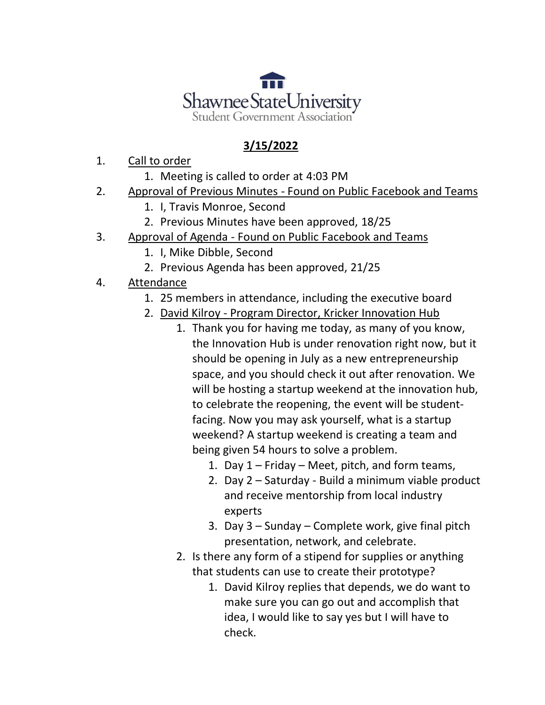

## **3/15/2022**

- 1. Call to order
	- 1. Meeting is called to order at 4:03 PM
- 2. Approval of Previous Minutes Found on Public Facebook and Teams
	- 1. I, Travis Monroe, Second
	- 2. Previous Minutes have been approved, 18/25
- 3. Approval of Agenda Found on Public Facebook and Teams
	- 1. I, Mike Dibble, Second
	- 2. Previous Agenda has been approved, 21/25
- 4. Attendance
	- 1. 25 members in attendance, including the executive board
	- 2. David Kilroy Program Director, Kricker Innovation Hub
		- 1. Thank you for having me today, as many of you know, the Innovation Hub is under renovation right now, but it should be opening in July as a new entrepreneurship space, and you should check it out after renovation. We will be hosting a startup weekend at the innovation hub, to celebrate the reopening, the event will be studentfacing. Now you may ask yourself, what is a startup weekend? A startup weekend is creating a team and being given 54 hours to solve a problem.
			- 1. Day 1 Friday Meet, pitch, and form teams,
			- 2. Day 2 Saturday Build a minimum viable product and receive mentorship from local industry experts
			- 3. Day 3 Sunday Complete work, give final pitch presentation, network, and celebrate.
		- 2. Is there any form of a stipend for supplies or anything that students can use to create their prototype?
			- 1. David Kilroy replies that depends, we do want to make sure you can go out and accomplish that idea, I would like to say yes but I will have to check.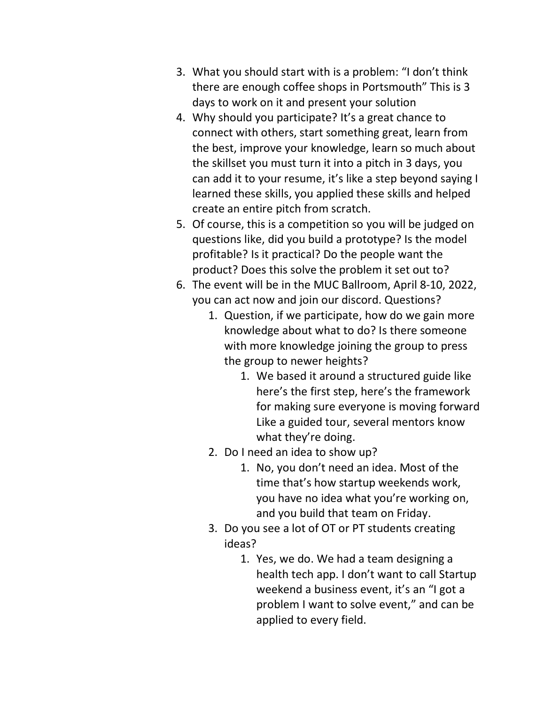- 3. What you should start with is a problem: "I don't think there are enough coffee shops in Portsmouth" This is 3 days to work on it and present your solution
- 4. Why should you participate? It's a great chance to connect with others, start something great, learn from the best, improve your knowledge, learn so much about the skillset you must turn it into a pitch in 3 days, you can add it to your resume, it's like a step beyond saying I learned these skills, you applied these skills and helped create an entire pitch from scratch.
- 5. Of course, this is a competition so you will be judged on questions like, did you build a prototype? Is the model profitable? Is it practical? Do the people want the product? Does this solve the problem it set out to?
- 6. The event will be in the MUC Ballroom, April 8-10, 2022, you can act now and join our discord. Questions?
	- 1. Question, if we participate, how do we gain more knowledge about what to do? Is there someone with more knowledge joining the group to press the group to newer heights?
		- 1. We based it around a structured guide like here's the first step, here's the framework for making sure everyone is moving forward Like a guided tour, several mentors know what they're doing.
	- 2. Do I need an idea to show up?
		- 1. No, you don't need an idea. Most of the time that's how startup weekends work, you have no idea what you're working on, and you build that team on Friday.
	- 3. Do you see a lot of OT or PT students creating ideas?
		- 1. Yes, we do. We had a team designing a health tech app. I don't want to call Startup weekend a business event, it's an "I got a problem I want to solve event," and can be applied to every field.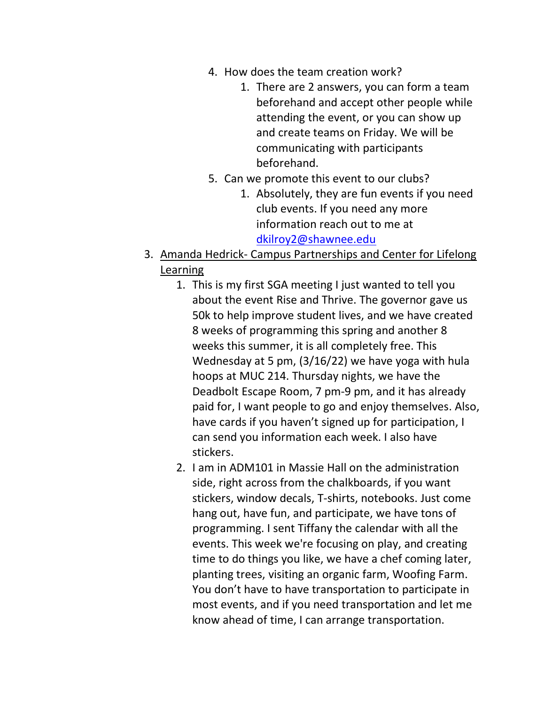- 4. How does the team creation work?
	- 1. There are 2 answers, you can form a team beforehand and accept other people while attending the event, or you can show up and create teams on Friday. We will be communicating with participants beforehand.
- 5. Can we promote this event to our clubs?
	- 1. Absolutely, they are fun events if you need club events. If you need any more information reach out to me at [dkilroy2@shawnee.edu](mailto:dkilroy2@shawnee.edu)
- 3. Amanda Hedrick- Campus Partnerships and Center for Lifelong Learning
	- 1. This is my first SGA meeting I just wanted to tell you about the event Rise and Thrive. The governor gave us 50k to help improve student lives, and we have created 8 weeks of programming this spring and another 8 weeks this summer, it is all completely free. This Wednesday at 5 pm, (3/16/22) we have yoga with hula hoops at MUC 214. Thursday nights, we have the Deadbolt Escape Room, 7 pm-9 pm, and it has already paid for, I want people to go and enjoy themselves. Also, have cards if you haven't signed up for participation, I can send you information each week. I also have stickers.
	- 2. I am in ADM101 in Massie Hall on the administration side, right across from the chalkboards, if you want stickers, window decals, T-shirts, notebooks. Just come hang out, have fun, and participate, we have tons of programming. I sent Tiffany the calendar with all the events. This week we're focusing on play, and creating time to do things you like, we have a chef coming later, planting trees, visiting an organic farm, Woofing Farm. You don't have to have transportation to participate in most events, and if you need transportation and let me know ahead of time, I can arrange transportation.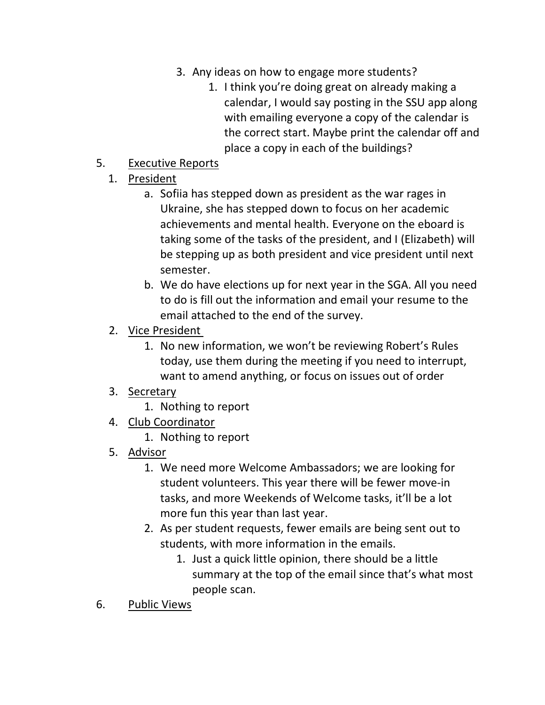- 3. Any ideas on how to engage more students?
	- 1. I think you're doing great on already making a calendar, I would say posting in the SSU app along with emailing everyone a copy of the calendar is the correct start. Maybe print the calendar off and place a copy in each of the buildings?

## 5. Executive Reports

- 1. President
	- a. Sofiia has stepped down as president as the war rages in Ukraine, she has stepped down to focus on her academic achievements and mental health. Everyone on the eboard is taking some of the tasks of the president, and I (Elizabeth) will be stepping up as both president and vice president until next semester.
	- b. We do have elections up for next year in the SGA. All you need to do is fill out the information and email your resume to the email attached to the end of the survey.
- 2. Vice President
	- 1. No new information, we won't be reviewing Robert's Rules today, use them during the meeting if you need to interrupt, want to amend anything, or focus on issues out of order
- 3. Secretary
	- 1. Nothing to report
- 4. Club Coordinator
	- 1. Nothing to report
- 5. Advisor
	- 1. We need more Welcome Ambassadors; we are looking for student volunteers. This year there will be fewer move-in tasks, and more Weekends of Welcome tasks, it'll be a lot more fun this year than last year.
	- 2. As per student requests, fewer emails are being sent out to students, with more information in the emails.
		- 1. Just a quick little opinion, there should be a little summary at the top of the email since that's what most people scan.
- 6. Public Views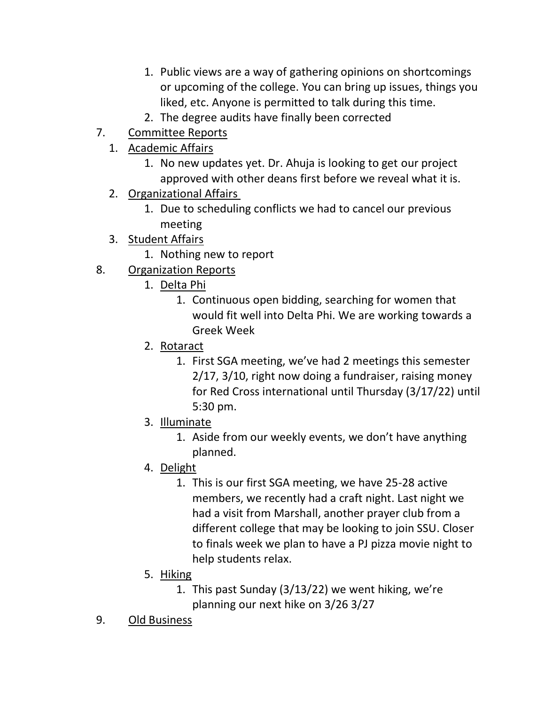- 1. Public views are a way of gathering opinions on shortcomings or upcoming of the college. You can bring up issues, things you liked, etc. Anyone is permitted to talk during this time.
- 2. The degree audits have finally been corrected
- 7. Committee Reports
	- 1. Academic Affairs
		- 1. No new updates yet. Dr. Ahuja is looking to get our project approved with other deans first before we reveal what it is.
	- 2. Organizational Affairs
		- 1. Due to scheduling conflicts we had to cancel our previous meeting
	- 3. Student Affairs
		- 1. Nothing new to report
- 8. Organization Reports
	- 1. Delta Phi
		- 1. Continuous open bidding, searching for women that would fit well into Delta Phi. We are working towards a Greek Week
	- 2. Rotaract
		- 1. First SGA meeting, we've had 2 meetings this semester 2/17, 3/10, right now doing a fundraiser, raising money for Red Cross international until Thursday (3/17/22) until 5:30 pm.
	- 3. Illuminate
		- 1. Aside from our weekly events, we don't have anything planned.
	- 4. Delight
		- 1. This is our first SGA meeting, we have 25-28 active members, we recently had a craft night. Last night we had a visit from Marshall, another prayer club from a different college that may be looking to join SSU. Closer to finals week we plan to have a PJ pizza movie night to help students relax.
	- 5. Hiking
		- 1. This past Sunday (3/13/22) we went hiking, we're planning our next hike on 3/26 3/27
- 9. Old Business